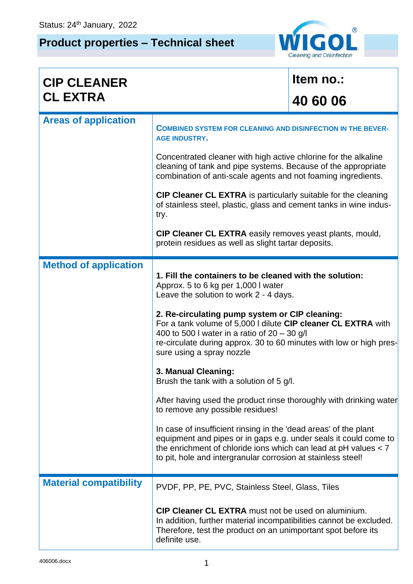## **Product properties – Technical sheet**



| <b>CIP CLEANER</b>            |                                                                                                                                                                                                                                                                                                                                                                                                                                                                                                                                                                                                                                                                                                                                                                                                                                                                               | Item no.: |
|-------------------------------|-------------------------------------------------------------------------------------------------------------------------------------------------------------------------------------------------------------------------------------------------------------------------------------------------------------------------------------------------------------------------------------------------------------------------------------------------------------------------------------------------------------------------------------------------------------------------------------------------------------------------------------------------------------------------------------------------------------------------------------------------------------------------------------------------------------------------------------------------------------------------------|-----------|
| <b>CL EXTRA</b>               |                                                                                                                                                                                                                                                                                                                                                                                                                                                                                                                                                                                                                                                                                                                                                                                                                                                                               | 40 60 06  |
| <b>Areas of application</b>   | <b>COMBINED SYSTEM FOR CLEANING AND DISINFECTION IN THE BEVER-</b><br><b>AGE INDUSTRY.</b>                                                                                                                                                                                                                                                                                                                                                                                                                                                                                                                                                                                                                                                                                                                                                                                    |           |
|                               | Concentrated cleaner with high active chlorine for the alkaline<br>cleaning of tank and pipe systems. Because of the appropriate<br>combination of anti-scale agents and not foaming ingredients.                                                                                                                                                                                                                                                                                                                                                                                                                                                                                                                                                                                                                                                                             |           |
|                               | <b>CIP Cleaner CL EXTRA</b> is particularly suitable for the cleaning<br>of stainless steel, plastic, glass and cement tanks in wine indus-<br>try.                                                                                                                                                                                                                                                                                                                                                                                                                                                                                                                                                                                                                                                                                                                           |           |
|                               | <b>CIP Cleaner CL EXTRA</b> easily removes yeast plants, mould,<br>protein residues as well as slight tartar deposits.                                                                                                                                                                                                                                                                                                                                                                                                                                                                                                                                                                                                                                                                                                                                                        |           |
| <b>Method of application</b>  | 1. Fill the containers to be cleaned with the solution:<br>Approx. 5 to 6 kg per 1,000 I water<br>Leave the solution to work 2 - 4 days.<br>2. Re-circulating pump system or CIP cleaning:<br>For a tank volume of 5,000 I dilute CIP cleaner CL EXTRA with<br>400 to 500 I water in a ratio of $20 - 30$ g/l<br>re-circulate during approx. 30 to 60 minutes with low or high pres-<br>sure using a spray nozzle<br>3. Manual Cleaning:<br>Brush the tank with a solution of 5 g/l.<br>After having used the product rinse thoroughly with drinking water<br>to remove any possible residues!<br>In case of insufficient rinsing in the 'dead areas' of the plant<br>equipment and pipes or in gaps e.g. under seals it could come to<br>the enrichment of chloride ions which can lead at $pH$ values $< 7$<br>to pit, hole and intergranular corrosion at stainless steel! |           |
| <b>Material compatibility</b> | PVDF, PP, PE, PVC, Stainless Steel, Glass, Tiles<br><b>CIP Cleaner CL EXTRA</b> must not be used on aluminium.<br>In addition, further material incompatibilities cannot be excluded.<br>Therefore, test the product on an unimportant spot before its<br>definite use.                                                                                                                                                                                                                                                                                                                                                                                                                                                                                                                                                                                                       |           |